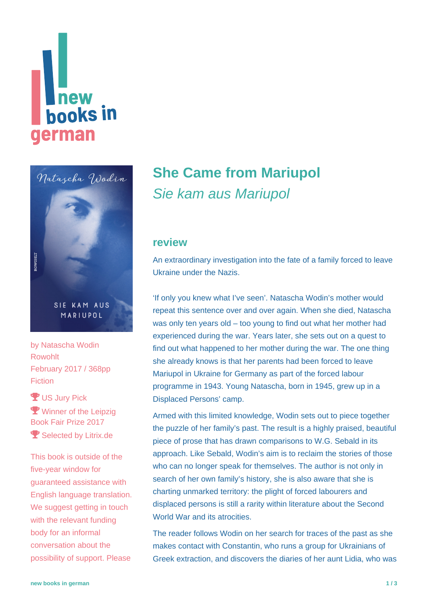# **Thew<br>books in** german



SIE KAM AUS MARIUPOL

by [Natascha Wodin](https://www.new-books-in-german.com/recommendations/?searchInput=Natascha%20Wodin) Rowohlt February 2017 / 368pp **Fiction** 

**Y** US Jury Pick **Y** Winner of the Leipzig Book Fair Prize 2017 **Y** Selected by Litrix.de

This book is outside of the five-year window for guaranteed assistance with English language translation. We suggest getting in touch with the relevant funding body for an informal conversation about the possibility of support. Please

## **[She Came from Mariupol](https://www.new-books-in-german.com/recommendations/she-came-from-mariupol/)** Sie kam aus Mariupol

#### **review**

An extraordinary investigation into the fate of a family forced to leave Ukraine under the Nazis.

'If only you knew what I've seen'. Natascha Wodin's mother would repeat this sentence over and over again. When she died, Natascha was only ten years old – too young to find out what her mother had experienced during the war. Years later, she sets out on a quest to find out what happened to her mother during the war. The one thing she already knows is that her parents had been forced to leave Mariupol in Ukraine for Germany as part of the forced labour programme in 1943. Young Natascha, born in 1945, grew up in a Displaced Persons' camp.

Armed with this limited knowledge, Wodin sets out to piece together the puzzle of her family's past. The result is a highly praised, beautiful piece of prose that has drawn comparisons to W.G. Sebald in its approach. Like Sebald, Wodin's aim is to reclaim the stories of those who can no longer speak for themselves. The author is not only in search of her own family's history, she is also aware that she is charting unmarked territory: the plight of forced labourers and displaced persons is still a rarity within literature about the Second World War and its atrocities.

The reader follows Wodin on her search for traces of the past as she makes contact with Constantin, who runs a group for Ukrainians of Greek extraction, and discovers the diaries of her aunt Lidia, who was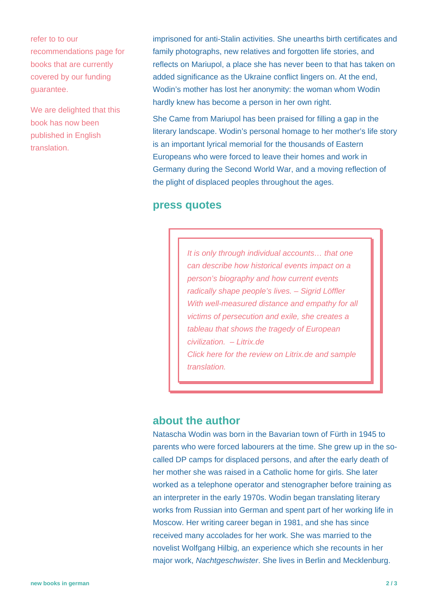refer to to our [recommendations page](https://www.new-books-in-german.com/recommendations) for books that are currently covered by our funding guarantee.

We are delighted that this book has now been published in English translation.

imprisoned for anti-Stalin activities. She unearths birth certificates and family photographs, new relatives and forgotten life stories, and reflects on Mariupol, a place she has never been to that has taken on added significance as the Ukraine conflict lingers on. At the end, Wodin's mother has lost her anonymity: the woman whom Wodin hardly knew has become a person in her own right.

She Came from Mariupol has been praised for filling a gap in the literary landscape. Wodin's personal homage to her mother's life story is an important lyrical memorial for the thousands of Eastern Europeans who were forced to leave their homes and work in Germany during the Second World War, and a moving reflection of the plight of displaced peoples throughout the ages.

#### **press quotes**

It is only through individual accounts… that one can describe how historical events impact on a person's biography and how current events radically shape people's lives. – Sigrid Löffler With well-measured distance and empathy for all victims of persecution and exile, she creates a tableau that shows the tragedy of European civilization. – Litrix.de [Click here for the review on Litrix.de and sample](http://www.litrix.de/en/buecher.cfm?publicationId=1928) [translation.](http://www.litrix.de/en/buecher.cfm?publicationId=1928)

#### **about the author**

Natascha Wodin was born in the Bavarian town of Fürth in 1945 to parents who were forced labourers at the time. She grew up in the socalled DP camps for displaced persons, and after the early death of her mother she was raised in a Catholic home for girls. She later worked as a telephone operator and stenographer before training as an interpreter in the early 1970s. Wodin began translating literary works from Russian into German and spent part of her working life in Moscow. Her writing career began in 1981, and she has since received many accolades for her work. She was married to the novelist Wolfgang Hilbig, an experience which she recounts in her major work, Nachtgeschwister. She lives in Berlin and Mecklenburg.